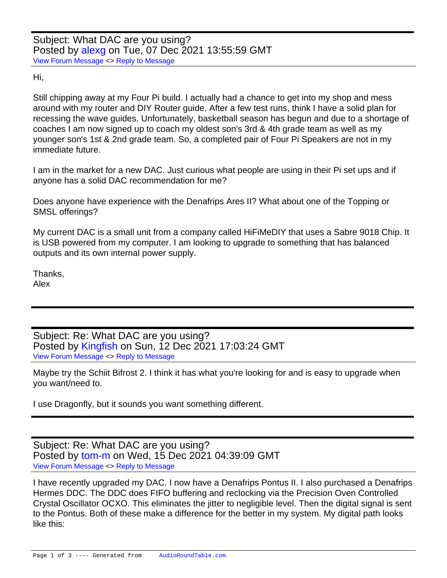Hi,

Still chipping away at my Four Pi build. I actually had a chance to get into my shop and mess around with my router and DIY Router guide. After a few test runs, think I have a solid plan for recessing the wave guides. Unfortunately, basketball season has begun and due to a shortage of coaches I am now signed up to coach my oldest son's 3rd & 4th grade team as well as my younger son's 1st & 2nd grade team. So, a completed pair of Four Pi Speakers are not in my immediate future.

I am in the market for a new DAC. Just curious what people are using in their Pi set ups and if anyone has a solid DAC recommendation for me?

Does anyone have experience with the Denafrips Ares II? What about one of the Topping or SMSL offerings?

My current DAC is a small unit from a company called HiFiMeDIY that uses a Sabre 9018 Chip. It is USB powered from my computer. I am looking to upgrade to something that has balanced outputs and its own internal power supply.

Thanks, Alex

Subject: Re: What DAC are you using? Posted by [Kingfish](https://audioroundtable.com/forum/index.php?t=usrinfo&id=5030) on Sun, 12 Dec 2021 17:03:24 GMT [View Forum Message](https://audioroundtable.com/forum/index.php?t=rview&th=23323&goto=94906#msg_94906) <> [Reply to Message](https://audioroundtable.com/forum/index.php?t=post&reply_to=94906)

Maybe try the Schiit Bifrost 2. I think it has what you're looking for and is easy to upgrade when you want/need to.

I use Dragonfly, but it sounds you want something different.

Subject: Re: What DAC are you using? Posted by [tom-m](https://audioroundtable.com/forum/index.php?t=usrinfo&id=3646) on Wed, 15 Dec 2021 04:39:09 GMT [View Forum Message](https://audioroundtable.com/forum/index.php?t=rview&th=23323&goto=94919#msg_94919) <> [Reply to Message](https://audioroundtable.com/forum/index.php?t=post&reply_to=94919)

I have recently upgraded my DAC. I now have a Denafrips Pontus II. I also purchased a Denafrips Hermes DDC. The DDC does FIFO buffering and reclocking via the Precision Oven Controlled Crystal Oscillator OCXO. This eliminates the jitter to negligible level. Then the digital signal is sent to the Pontus. Both of these make a difference for the better in my system. My digital path looks like this: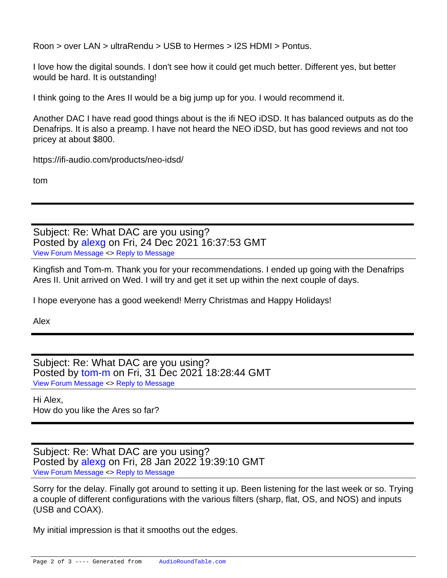Roon > over LAN > ultraRendu > USB to Hermes > I2S HDMI > Pontus.

I love how the digital sounds. I don't see how it could get much better. Different yes, but better would be hard. It is outstanding!

I think going to the Ares II would be a big jump up for you. I would recommend it.

Another DAC I have read good things about is the ifi NEO iDSD. It has balanced outputs as do the Denafrips. It is also a preamp. I have not heard the NEO iDSD, but has good reviews and not too pricey at about \$800.

https://ifi-audio.com/products/neo-idsd/

tom

Subject: Re: What DAC are you using? Posted by [alexg](https://audioroundtable.com/forum/index.php?t=usrinfo&id=8611) on Fri, 24 Dec 2021 16:37:53 GMT [View Forum Message](https://audioroundtable.com/forum/index.php?t=rview&th=23323&goto=94992#msg_94992) <> [Reply to Message](https://audioroundtable.com/forum/index.php?t=post&reply_to=94992)

Kingfish and Tom-m. Thank you for your recommendations. I ended up going with the Denafrips Ares II. Unit arrived on Wed. I will try and get it set up within the next couple of days.

I hope everyone has a good weekend! Merry Christmas and Happy Holidays!

Alex

Subject: Re: What DAC are you using? Posted by [tom-m](https://audioroundtable.com/forum/index.php?t=usrinfo&id=3646) on Fri, 31 Dec 2021 18:28:44 GMT [View Forum Message](https://audioroundtable.com/forum/index.php?t=rview&th=23323&goto=95018#msg_95018) <> [Reply to Message](https://audioroundtable.com/forum/index.php?t=post&reply_to=95018)

Hi Alex, How do you like the Ares so far?

Subject: Re: What DAC are you using? Posted by [alexg](https://audioroundtable.com/forum/index.php?t=usrinfo&id=8611) on Fri, 28 Jan 2022 19:39:10 GMT [View Forum Message](https://audioroundtable.com/forum/index.php?t=rview&th=23323&goto=95145#msg_95145) <> [Reply to Message](https://audioroundtable.com/forum/index.php?t=post&reply_to=95145)

Sorry for the delay. Finally got around to setting it up. Been listening for the last week or so. Trying a couple of different configurations with the various filters (sharp, flat, OS, and NOS) and inputs (USB and COAX).

My initial impression is that it smooths out the edges.